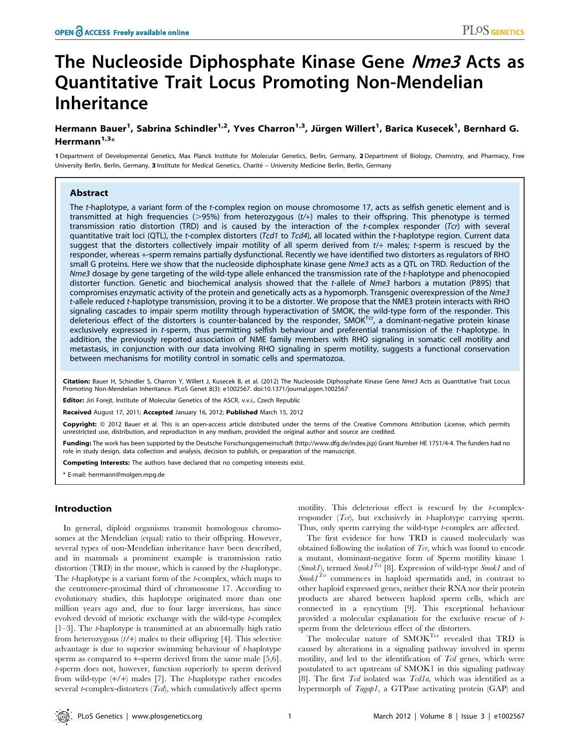# The Nucleoside Diphosphate Kinase Gene Nme3 Acts as Quantitative Trait Locus Promoting Non-Mendelian Inheritance

# Hermann Bauer<sup>1</sup>, Sabrina Schindler<sup>1,2</sup>, Yves Charron<sup>1,3</sup>, Jürgen Willert<sup>1</sup>, Barica Kusecek<sup>1</sup>, Bernhard G. Herrmann $^{1,3}$ \*

1 Department of Developmental Genetics, Max Planck Institute for Molecular Genetics, Berlin, Germany, 2 Department of Biology, Chemistry, and Pharmacy, Free University Berlin, Berlin, Germany, 3 Institute for Medical Genetics, Charité - University Medicine Berlin, Berlin, Germany

# Abstract

The t-haplotype, a variant form of the t-complex region on mouse chromosome 17, acts as selfish genetic element and is transmitted at high frequencies ( $>$ 95%) from heterozygous ( $t$ /+) males to their offspring. This phenotype is termed transmission ratio distortion (TRD) and is caused by the interaction of the t-complex responder (Tcr) with several quantitative trait loci (QTL), the t-complex distorters (Tcd1 to Tcd4), all located within the t-haplotype region. Current data suggest that the distorters collectively impair motility of all sperm derived from t/+ males; t-sperm is rescued by the responder, whereas +-sperm remains partially dysfunctional. Recently we have identified two distorters as regulators of RHO small G proteins. Here we show that the nucleoside diphosphate kinase gene Nme3 acts as a QTL on TRD. Reduction of the Nme3 dosage by gene targeting of the wild-type allele enhanced the transmission rate of the t-haplotype and phenocopied distorter function. Genetic and biochemical analysis showed that the t-allele of Nme3 harbors a mutation (P89S) that compromises enzymatic activity of the protein and genetically acts as a hypomorph. Transgenic overexpression of the Nme3 t-allele reduced t-haplotype transmission, proving it to be a distorter. We propose that the NME3 protein interacts with RHO signaling cascades to impair sperm motility through hyperactivation of SMOK, the wild-type form of the responder. This deleterious effect of the distorters is counter-balanced by the responder, SMOK<sup>Tcr</sup>, a dominant-negative protein kinase exclusively expressed in t-sperm, thus permitting selfish behaviour and preferential transmission of the t-haplotype. In addition, the previously reported association of NME family members with RHO signaling in somatic cell motility and metastasis, in conjunction with our data involving RHO signaling in sperm motility, suggests a functional conservation between mechanisms for motility control in somatic cells and spermatozoa.

Citation: Bauer H, Schindler S, Charron Y, Willert J, Kusecek B, et al. (2012) The Nucleoside Diphosphate Kinase Gene Nme3 Acts as Quantitative Trait Locus Promoting Non-Mendelian Inheritance. PLoS Genet 8(3): e1002567. doi:10.1371/journal.pgen.1002567

Editor: Jiri Forejt, Institute of Molecular Genetics of the ASCR, v.v.i., Czech Republic

Received August 17, 2011; Accepted January 16, 2012; Published March 15, 2012

Copyright: © 2012 Bauer et al. This is an open-access article distributed under the terms of the Creative Commons Attribution License, which permits unrestricted use, distribution, and reproduction in any medium, provided the original author and source are credited.

Funding: The work has been supported by the Deutsche Forschungsgemeinschaft (http://www.dfg.de/index.jsp) Grant Number HE 1751/4-4. The funders had no role in study design, data collection and analysis, decision to publish, or preparation of the manuscript.

Competing Interests: The authors have declared that no competing interests exist.

\* E-mail: herrmann@molgen.mpg.de

### Introduction

In general, diploid organisms transmit homologous chromosomes at the Mendelian (equal) ratio to their offspring. However, several types of non-Mendelian inheritance have been described, and in mammals a prominent example is transmission ratio distortion (TRD) in the mouse, which is caused by the t-haplotype. The *t*-haplotype is a variant form of the *t*-complex, which maps to the centromere-proximal third of chromosome 17. According to evolutionary studies, this haplotype originated more than one million years ago and, due to four large inversions, has since evolved devoid of meiotic exchange with the wild-type t-complex  $[1-3]$ . The *t*-haplotype is transmitted at an abnormally high ratio from heterozygous  $(t/+)$  males to their offspring [4]. This selective advantage is due to superior swimming behaviour of t-haplotype sperm as compared to  $+$ -sperm derived from the same male [5,6]. t-sperm does not, however, function superiorly to sperm derived from wild-type  $(+/+)$  males [7]. The *t*-haplotype rather encodes several *t*-complex-distorters  $(Tcd)$ , which cumulatively affect sperm motility. This deleterious effect is rescued by the t-complexresponder  $(T_{cr})$ , but exclusively in *t*-haplotype carrying sperm. Thus, only sperm carrying the wild-type *t*-complex are affected.

The first evidence for how TRD is caused molecularly was obtained following the isolation of  $\mathcal{T}_{cr}$ , which was found to encode a mutant, dominant-negative form of Sperm motility kinase 1 (Smok1), termed  $Smok1<sup>Tcr</sup>$  [8]. Expression of wild-type  $Smok1$  and of  $Smok1^{Tcr}$  commences in haploid spermatids and, in contrast to other haploid expressed genes, neither their RNA nor their protein products are shared between haploid sperm cells, which are connected in a syncytium [9]. This exceptional behaviour provided a molecular explanation for the exclusive rescue of tsperm from the deleterious effect of the distorters.

The molecular nature of SMOK<sup>Tcr</sup> revealed that TRD is caused by alterations in a signaling pathway involved in sperm motility, and led to the identification of  $Tcd$  genes, which were postulated to act upstream of SMOK1 in this signaling pathway [8]. The first  $Tcd$  isolated was  $Tcd1a$ , which was identified as a hypermorph of Tagap1, a GTPase activating protein (GAP) and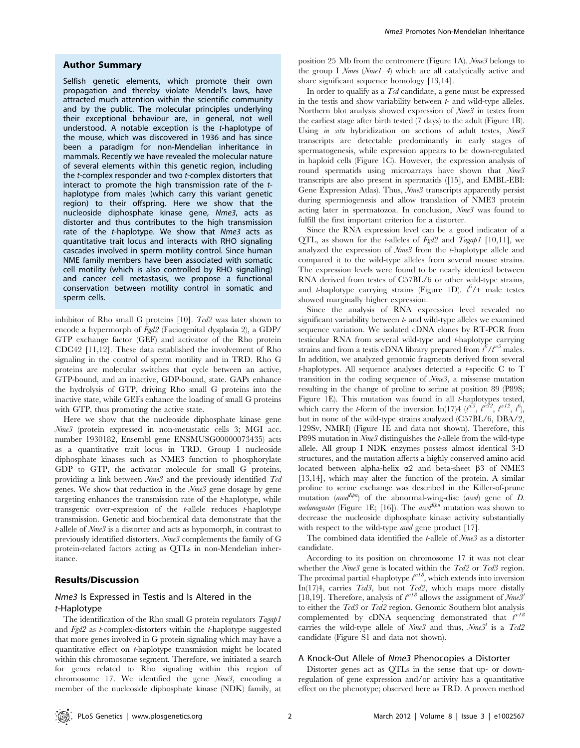#### Author Summary

Selfish genetic elements, which promote their own propagation and thereby violate Mendel's laws, have attracted much attention within the scientific community and by the public. The molecular principles underlying their exceptional behaviour are, in general, not well understood. A notable exception is the t-haplotype of the mouse, which was discovered in 1936 and has since been a paradigm for non-Mendelian inheritance in mammals. Recently we have revealed the molecular nature of several elements within this genetic region, including the t-complex responder and two t-complex distorters that interact to promote the high transmission rate of the thaplotype from males (which carry this variant genetic region) to their offspring. Here we show that the nucleoside diphosphate kinase gene, Nme3, acts as distorter and thus contributes to the high transmission rate of the t-haplotype. We show that Nme3 acts as quantitative trait locus and interacts with RHO signaling cascades involved in sperm motility control. Since human NME family members have been associated with somatic cell motility (which is also controlled by RHO signalling) and cancer cell metastasis, we propose a functional conservation between motility control in somatic and sperm cells.

inhibitor of Rho small G proteins [10]. Tcd2 was later shown to encode a hypermorph of Fgd2 (Faciogenital dysplasia 2), a GDP/ GTP exchange factor (GEF) and activator of the Rho protein CDC42 [11,12]. These data established the involvement of Rho signaling in the control of sperm motility and in TRD. Rho G proteins are molecular switches that cycle between an active, GTP-bound, and an inactive, GDP-bound, state. GAPs enhance the hydrolysis of GTP, driving Rho small G proteins into the inactive state, while GEFs enhance the loading of small G proteins with GTP, thus promoting the active state.

Here we show that the nucleoside diphosphate kinase gene Nme3 (protein expressed in non-metastatic cells 3; MGI acc. number 1930182, Ensembl gene ENSMUSG00000073435) acts as a quantitative trait locus in TRD. Group I nucleoside diphosphate kinases such as NME3 function to phosphorylate GDP to GTP, the activator molecule for small G proteins, providing a link between  $Nme3$  and the previously identified Tcd genes. We show that reduction in the Nme3 gene dosage by gene targeting enhances the transmission rate of the t-haplotype, while transgenic over-expression of the t-allele reduces t-haplotype transmission. Genetic and biochemical data demonstrate that the t-allele of Nme3 is a distorter and acts as hypomorph, in contrast to previously identified distorters. Nme3 complements the family of G protein-related factors acting as QTLs in non-Mendelian inheritance.

# Results/Discussion

# Nme3 Is Expressed in Testis and Is Altered in the t-Haplotype

The identification of the Rho small G protein regulators Tagap1 and  $Fgd2$  as *t*-complex-distorters within the *t*-haplotype suggested that more genes involved in G protein signaling which may have a quantitative effect on t-haplotype transmission might be located within this chromosome segment. Therefore, we initiated a search for genes related to Rho signaling within this region of chromosome 17. We identified the gene Nme3, encoding a member of the nucleoside diphosphate kinase (NDK) family, at position 25 Mb from the centromere (Figure 1A). Nme3 belongs to the group I  $N$ mes  $(Nm eI-4)$  which are all catalytically active and share significant sequence homology [13,14].

In order to qualify as a Tcd candidate, a gene must be expressed in the testis and show variability between  $t$ - and wild-type alleles. Northern blot analysis showed expression of Nme3 in testes from the earliest stage after birth tested (7 days) to the adult (Figure 1B). Using *in situ* hybridization on sections of adult testes, Nme3 transcripts are detectable predominantly in early stages of spermatogenesis, while expression appears to be down-regulated in haploid cells (Figure 1C). However, the expression analysis of round spermatids using microarrays have shown that  $Nme3$ transcripts are also present in spermatids ([15], and EMBL-EBI: Gene Expression Atlas). Thus,  $\mathcal{N}$ me3 transcripts apparently persist during spermiogenesis and allow translation of NME3 protein acting later in spermatozoa. In conclusion, Nme3 was found to fulfill the first important criterion for a distorter.

Since the RNA expression level can be a good indicator of a QTL, as shown for the *t*-alleles of  $Fgd2$  and  $Tagap1$  [10,11], we analyzed the expression of Nme3 from the t-haplotype allele and compared it to the wild-type alleles from several mouse strains. The expression levels were found to be nearly identical between RNA derived from testes of C57BL/6 or other wild-type strains, and *t*-haplotype carrying strains (Figure 1D).  $t^6/$ + male testes showed marginally higher expression.

Since the analysis of RNA expression level revealed no significant variability between  $t$ - and wild-type alleles we examined sequence variation. We isolated cDNA clones by RT-PCR from testicular RNA from several wild-type and t-haplotype carrying strains and from a testis cDNA library prepared from  $t^6/t^{w5}$  males. In addition, we analyzed genomic fragments derived from several  $t$ -haplotypes. All sequence analyses detected a  $t$ -specific C to T transition in the coding sequence of Nme3, a missense mutation resulting in the change of proline to serine at position 89 (P89S; Figure 1E). This mutation was found in all *t*-haplotypes tested, which carry the *t*-form of the inversion In(17)4 ( $t^{i\sigma}$ ,  $t^{i\sigma}$ ,  $t^{i\sigma}$ ,  $t^{i\sigma}$ ,  $t^{i\sigma}$ ), but in none of the wild-type strains analyzed (C57BL/6, DBA/2, 129Sv, NMRI) (Figure 1E and data not shown). Therefore, this P89S mutation in Nme3 distinguishes the t-allele from the wild-type allele. All group I NDK enzymes possess almost identical 3-D structures, and the mutation affects a highly conserved amino acid located between alpha-helix  $\alpha$ 2 and beta-sheet  $\beta$ 3 of NME3 [13,14], which may alter the function of the protein. A similar proline to serine exchange was described in the Killer-of-prune mutation  $(awd^{Kpn})$  of the abnormal-wing-disc  $(awd)$  gene of D. melanogaster (Figure 1E; [16]). The awd  $K_{pm}$  mutation was shown to decrease the nucleoside diphosphate kinase activity substantially with respect to the wild-type *awd* gene product [17].

The combined data identified the t-allele of Nme3 as a distorter candidate.

According to its position on chromosome 17 it was not clear whether the  $Nme3$  gene is located within the  $Tcd2$  or  $Tcd3$  region. The proximal partial *t*-haplotype  $t^{w18}$ , which extends into inversion In(17)4, carries  $Tcd3$ , but not  $Tcd2$ , which maps more distally [18,19]. Therefore, analysis of  $t^{w18}$  allows the assignment of  $\mathcal{N}$ me3<sup>t</sup> to either the Tcd3 or Tcd2 region. Genomic Southern blot analysis complemented by cDNA sequencing demonstrated that  $\hat{t}^{w16}$ carries the wild-type allele of  $Nme^3$  and thus,  $Nme^{3t}$  is a  $Tcd2$ candidate (Figure S1 and data not shown).

#### A Knock-Out Allele of Nme3 Phenocopies a Distorter

Distorter genes act as QTLs in the sense that up- or downregulation of gene expression and/or activity has a quantitative effect on the phenotype; observed here as TRD. A proven method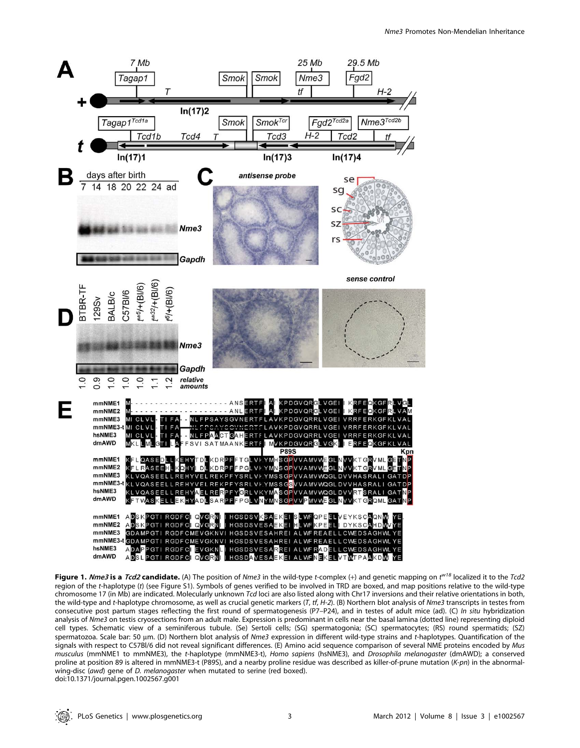

Figure 1. Nme3 is a Tcd2 candidate. (A) The position of Nme3 in the wild-type t-complex (+) and genetic mapping on t<sup>w18</sup> localized it to the Tcd2 region of the t-haplotype (t) (see Figure S1). Symbols of genes verified to be involved in TRD are boxed, and map positions relative to the wild-type chromosome 17 (in Mb) are indicated. Molecularly unknown Tcd loci are also listed along with Chr17 inversions and their relative orientations in both, the wild-type and t-haplotype chromosome, as well as crucial genetic markers (T, tf, H-2). (B) Northern blot analysis of Nme3 transcripts in testes from consecutive post partum stages reflecting the first round of spermatogenesis (P7–P24), and in testes of adult mice (ad). (C) In situ hybridization analysis of Nme3 on testis cryosections from an adult male. Expression is predominant in cells near the basal lamina (dotted line) representing diploid cell types. Schematic view of a seminiferous tubule. (Se) Sertoli cells; (SG) spermatogonia; (SC) spermatocytes; (RS) round spermatids; (SZ) spermatozoa. Scale bar: 50 µm. (D) Northern blot analysis of Nme3 expression in different wild-type strains and t-haplotypes. Quantification of the signals with respect to C57Bl/6 did not reveal significant differences. (E) Amino acid sequence comparison of several NME proteins encoded by Mus musculus (mmNME1 to mmNME3), the t-haplotype (mmNME3-t), Homo sapiens (hsNME3), and Drosophila melanogaster (dmAWD); a conserved proline at position 89 is altered in mmNME3-t (P89S), and a nearby proline residue was described as killer-of-prune mutation (K-pn) in the abnormalwing-disc (awd) gene of *D. melanogaster* when mutated to serine (red boxed). doi:10.1371/journal.pgen.1002567.g001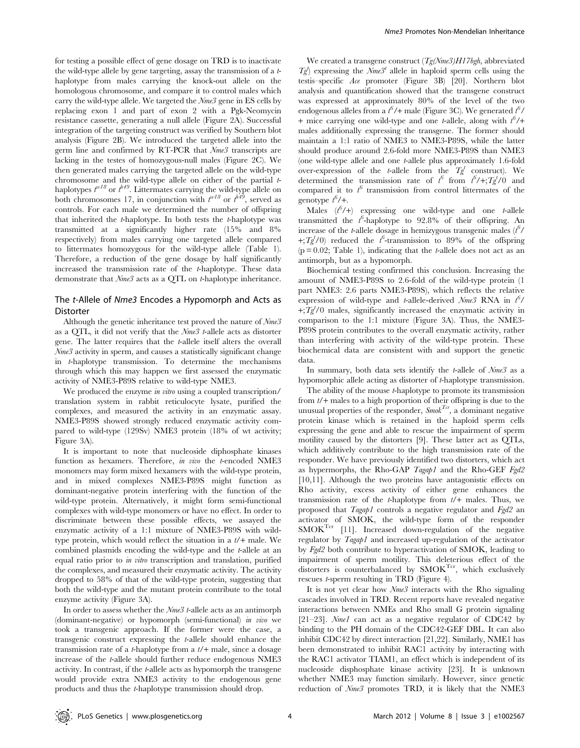for testing a possible effect of gene dosage on TRD is to inactivate the wild-type allele by gene targeting, assay the transmission of a thaplotype from males carrying the knock-out allele on the homologous chromosome, and compare it to control males which carry the wild-type allele. We targeted the Nme3 gene in ES cells by replacing exon 1 and part of exon 2 with a Pgk-Neomycin resistance cassette, generating a null allele (Figure 2A). Successful integration of the targeting construct was verified by Southern blot analysis (Figure 2B). We introduced the targeted allele into the germ line and confirmed by RT-PCR that Nme3 transcripts are lacking in the testes of homozygous-null males (Figure 2C). We then generated males carrying the targeted allele on the wild-type chromosome and the wild-type allele on either of the partial thaplotypes  $t^{w18}$  or  $t^{h49}$ . Littermates carrying the wild-type allele on both chromosomes 17, in conjunction with  $t^{w18}$  or  $t^{h49}$ , served as controls. For each male we determined the number of offspring that inherited the  $t$ -haplotype. In both tests the  $t$ -haplotype was transmitted at a significantly higher rate (15% and 8% respectively) from males carrying one targeted allele compared to littermates homozygous for the wild-type allele (Table 1). Therefore, a reduction of the gene dosage by half significantly increased the transmission rate of the t-haplotype. These data demonstrate that  $Nme3$  acts as a QTL on t-haplotype inheritance.

# The t-Allele of Nme3 Encodes a Hypomorph and Acts as **Distorter**

Although the genetic inheritance test proved the nature of  $Nme3$ as a QTL, it did not verify that the Nme3 t-allele acts as distorter gene. The latter requires that the t-allele itself alters the overall Nme3 activity in sperm, and causes a statistically significant change in t-haplotype transmission. To determine the mechanisms through which this may happen we first assessed the enzymatic activity of NME3-P89S relative to wild-type NME3.

We produced the enzyme *in vitro* using a coupled transcription/ translation system in rabbit reticulocyte lysate, purified the complexes, and measured the activity in an enzymatic assay. NME3-P89S showed strongly reduced enzymatic activity compared to wild-type (129Sv) NME3 protein (18% of wt activity; Figure 3A).

It is important to note that nucleoside diphosphate kinases function as hexamers. Therefore, in vivo the t-encoded NME3 monomers may form mixed hexamers with the wild-type protein, and in mixed complexes NME3-P89S might function as dominant-negative protein interfering with the function of the wild-type protein. Alternatively, it might form semi-functional complexes with wild-type monomers or have no effect. In order to discriminate between these possible effects, we assayed the enzymatic activity of a 1:1 mixture of NME3-P89S with wildtype protein, which would reflect the situation in a  $t/$ + male. We combined plasmids encoding the wild-type and the t-allele at an equal ratio prior to in vitro transcription and translation, purified the complexes, and measured their enzymatic activity. The activity dropped to 58% of that of the wild-type protein, suggesting that both the wild-type and the mutant protein contribute to the total enzyme activity (Figure 3A).

In order to assess whether the Nme3 t-allele acts as an antimorph (dominant-negative) or hypomorph (semi-functional) in vivo we took a transgenic approach. If the former were the case, a transgenic construct expressing the t-allele should enhance the transmission rate of a *t*-haplotype from a  $t/$ + male, since a dosage increase of the t-allele should further reduce endogenous NME3 activity. In contrast, if the t-allele acts as hypomorph the transgene would provide extra NME3 activity to the endogenous gene products and thus the t-haplotype transmission should drop.

We created a transgene construct  $(Tg(Nme3)HI7bgh,$  abbreviated  $T_g^{\ell}$  expressing the  $\bar{N}$ me<sup>3t</sup> allele in haploid sperm cells using the testis–specific Ace promoter (Figure 3B) [20]. Northern blot analysis and quantification showed that the transgene construct was expressed at approximately 80% of the level of the two endogenous alleles from a  $t^6$ /+ male (Figure 3C). We generated  $t^6$ / + mice carrying one wild-type and one *t*-allele, along with  $t^6$ /+ males additionally expressing the transgene. The former should maintain a 1:1 ratio of NME3 to NME3-P89S, while the latter should produce around 2.6-fold more NME3-P89S than NME3 (one wild-type allele and one t-allele plus approximately 1.6-fold over-expression of the t-allele from the  $T_g^t$  construct). We determined the transmission rate of  $t^6$  from  $t^6$ /+; $Tg^t$ /0 and compared it to  $t^6$  transmission from control littermates of the genotype  $t^6$ /+.

Males  $(t^6/+)$  expressing one wild-type and one t-allele transmitted the  $t^6$ -haplotype to 92.8% of their offspring. An increase of the *t*-allele dosage in hemizygous transgenic males  $(t^6)$ +; $Tg^{t}/0$ ) reduced the  $t^{6}$ -transmission to 89% of the offspring  $(p = 0.02;$  Table 1), indicating that the *t*-allele does not act as an antimorph, but as a hypomorph.

Biochemical testing confirmed this conclusion. Increasing the amount of NME3-P89S to 2.6-fold of the wild-type protein (1 part NME3: 2.6 parts NME3-P89S), which reflects the relative expression of wild-type and *t*-allele-derived  $Nme^3$  RNA in  $t^6$ /  $+;\overline{T}g^{t}/0$  males, significantly increased the enzymatic activity in comparison to the 1:1 mixture (Figure 3A). Thus, the NME3- P89S protein contributes to the overall enzymatic activity, rather than interfering with activity of the wild-type protein. These biochemical data are consistent with and support the genetic data.

In summary, both data sets identify the *t*-allele of  $Nme3$  as a hypomorphic allele acting as distorter of t-haplotype transmission.

The ability of the mouse *t*-haplotype to promote its transmission from  $t/$ + males to a high proportion of their offspring is due to the unusual properties of the responder,  $Smok^{Tcr}$ , a dominant negative protein kinase which is retained in the haploid sperm cells expressing the gene and able to rescue the impairment of sperm motility caused by the distorters [9]. These latter act as QTLs, which additively contribute to the high transmission rate of the responder. We have previously identified two distorters, which act as hypermorphs, the Rho-GAP Tagap1 and the Rho-GEF Fgd2 [10,11]. Although the two proteins have antagonistic effects on Rho activity, excess activity of either gene enhances the transmission rate of the  $t$ -haplotype from  $t$ /+ males. Thus, we proposed that Tagap1 controls a negative regulator and Fgd2 an activator of SMOK, the wild-type form of the responder  $SMOK^{Ter}$  [11]. Increased down-regulation of the negative regulator by Tagap1 and increased up-regulation of the activator by Fgd2 both contribute to hyperactivation of SMOK, leading to impairment of sperm motility. This deleterious effect of the distorters is counterbalanced by SMOK<sup>Tcr</sup>, which exclusively rescues t-sperm resulting in TRD (Figure 4).

It is not yet clear how Nme3 interacts with the Rho signaling cascades involved in TRD. Recent reports have revealed negative interactions between NMEs and Rho small G protein signaling [21-23]. *Nmel* can act as a negative regulator of CDC42 by binding to the PH domain of the CDC42-GEF DBL. It can also inhibit CDC42 by direct interaction [21,22]. Similarly, NME1 has been demonstrated to inhibit RAC1 activity by interacting with the RAC1 activator TIAM1, an effect which is independent of its nucleoside disphosphate kinase activity [23]. It is unknown whether NME3 may function similarly. However, since genetic reduction of Nme3 promotes TRD, it is likely that the NME3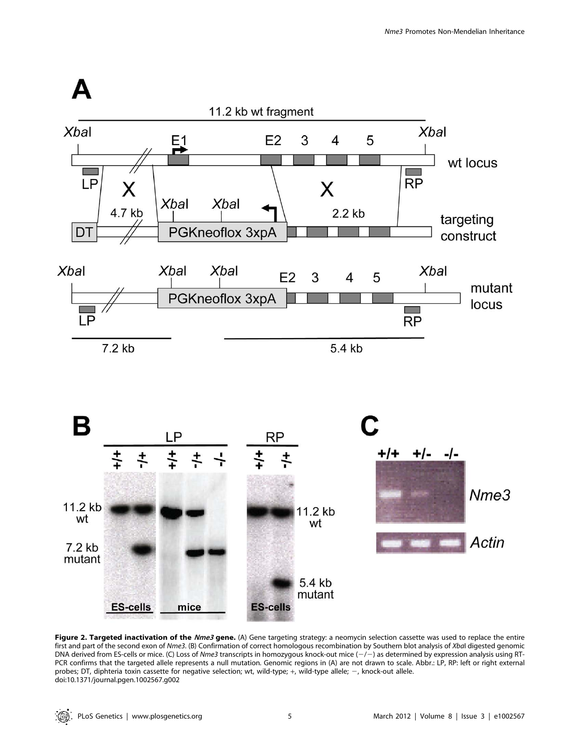



Figure 2. Targeted inactivation of the Nme3 gene. (A) Gene targeting strategy: a neomycin selection cassette was used to replace the entire first and part of the second exon of Nme3. (B) Confirmation of correct homologous recombination by Southern blot analysis of XbaI digested genomic DNA derived from ES-cells or mice. (C) Loss of Nme3 transcripts in homozygous knock-out mice  $(-/-)$  as determined by expression analysis using RT-PCR confirms that the targeted allele represents a null mutation. Genomic regions in (A) are not drawn to scale. Abbr.: LP, RP: left or right external probes; DT, diphteria toxin cassette for negative selection; wt, wild-type; +, wild-type allele; -, knock-out allele. doi:10.1371/journal.pgen.1002567.g002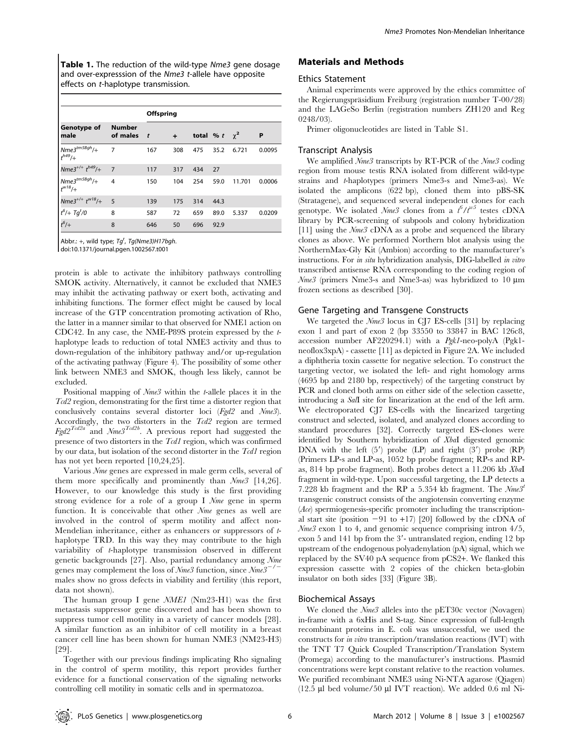Table 1. The reduction of the wild-type Nme3 gene dosage and over-expresssion of the Nme3 t-allele have opposite effects on t-haplotype transmission.

| Genotype of<br>male               | <b>Number</b><br>of males | Offspring    |        |     |                    |        |        |
|-----------------------------------|---------------------------|--------------|--------|-----|--------------------|--------|--------|
|                                   |                           | $\mathbf{t}$ | $\div$ |     | total % t $\chi^2$ |        | P      |
| $Nme3^{tm5Bgh}/+$<br>$t^{h49}$ /+ | $\overline{7}$            | 167          | 308    | 475 | 35.2               | 6.721  | 0.0095 |
| $Nme3^{+/+}$ $t^{h49}/+$          | $\overline{7}$            | 117          | 317    | 434 | 27                 |        |        |
| $Nme3^{tm5Bgh}/+$<br>$t^{w18}/+$  | $\overline{4}$            | 150          | 104    | 254 | 59.0               | 11.701 | 0.0006 |
| Nme3 <sup>+/+</sup> $t^{w18}/+$   | $-5$                      | 139          | 175    | 314 | 44.3               |        |        |
| $t^6$ /+ Tg <sup>t</sup> /0       | 8                         | 587          | 72     | 659 | 89.0               | 5.337  | 0.0209 |
| $t^6$ /+                          | 8                         | 646          | 50     | 696 | 92.9               |        |        |

Abbr.: +, wild type;  $Tg^t$ , Tg(Nme3)H17bgh.

doi:10.1371/journal.pgen.1002567.t001

protein is able to activate the inhibitory pathways controlling SMOK activity. Alternatively, it cannot be excluded that NME3 may inhibit the activating pathway or exert both, activating and inhibiting functions. The former effect might be caused by local increase of the GTP concentration promoting activation of Rho, the latter in a manner similar to that observed for NME1 action on CDC42. In any case, the NME-P89S protein expressed by the thaplotype leads to reduction of total NME3 activity and thus to down-regulation of the inhibitory pathway and/or up-regulation of the activating pathway (Figure 4). The possibility of some other link between NME3 and SMOK, though less likely, cannot be excluded.

Positional mapping of  $Nme3$  within the t-allele places it in the Tcd2 region, demonstrating for the first time a distorter region that conclusively contains several distorter loci (Fgd2 and Nme3). Accordingly, the two distorters in the  $Tcd2$  region are termed  $F_{gd}2^{T_{cd}2a}$  and  $N_{me}3^{T_{cd}2b}$ . A previous report had suggested the presence of two distorters in the Tcd1 region, which was confirmed by our data, but isolation of the second distorter in the Tcd1 region has not yet been reported [10,24,25].

Various Nme genes are expressed in male germ cells, several of them more specifically and prominently than  $Nme^3$  [14,26]. However, to our knowledge this study is the first providing strong evidence for a role of a group I Nme gene in sperm function. It is conceivable that other Nme genes as well are involved in the control of sperm motility and affect non-Mendelian inheritance, either as enhancers or suppressors of thaplotype TRD. In this way they may contribute to the high variability of t-haplotype transmission observed in different genetic backgrounds [27]. Also, partial redundancy among Nme genes may complement the loss of  $\mathcal{N}$ *me3* function, since  $\mathcal{N}$ *me3*<sup>-/</sup> males show no gross defects in viability and fertility (this report, data not shown).

The human group I gene  $NME1$  (Nm23-H1) was the first metastasis suppressor gene discovered and has been shown to suppress tumor cell motility in a variety of cancer models [28]. A similar function as an inhibitor of cell motility in a breast cancer cell line has been shown for human NME3 (NM23-H3) [29].

Together with our previous findings implicating Rho signaling in the control of sperm motility, this report provides further evidence for a functional conservation of the signaling networks controlling cell motility in somatic cells and in spermatozoa.

# Materials and Methods

#### Ethics Statement

Animal experiments were approved by the ethics committee of the Regierungspräsidium Freiburg (registration number T-00/28) and the LAGeSo Berlin (registration numbers ZH120 and Reg 0248/03).

Primer oligonucleotides are listed in Table S1.

#### Transcript Analysis

We amplified  $\mathcal{N}$ me3 transcripts by RT-PCR of the  $\mathcal{N}$ me3 coding region from mouse testis RNA isolated from different wild-type strains and t-haplotypes (primers Nme3-s and Nme3-as). We isolated the amplicons (622 bp), cloned them into pBS-SK (Stratagene), and sequenced several independent clones for each genotype. We isolated  $Nme3$  clones from a  $t^6/t^{w5}$  testes cDNA library by PCR-screening of subpools and colony hybridization [11] using the  $Nme3$  cDNA as a probe and sequenced the library clones as above. We performed Northern blot analysis using the NorthernMax-Gly Kit (Ambion) according to the manufacturer's instructions. For in situ hybridization analysis, DIG-labelled in vitro transcribed antisense RNA corresponding to the coding region of  $Nme3$  (primers Nme3-s and Nme3-as) was hybridized to 10  $\mu$ m frozen sections as described [30].

#### Gene Targeting and Transgene Constructs

We targeted the *Nme3* locus in CJ7 ES-cells [31] by replacing exon 1 and part of exon 2 (bp 33550 to 33847 in BAC 126c8, accession number AF220294.1) with a Pgk1-neo-polyA (Pgk1 neoflox3xpA) - cassette [11] as depicted in Figure 2A. We included a diphtheria toxin cassette for negative selection. To construct the targeting vector, we isolated the left- and right homology arms (4695 bp and 2180 bp, respectively) of the targeting construct by PCR and cloned both arms on either side of the selection cassette, introducing a SalI site for linearization at the end of the left arm. We electroporated CJ7 ES-cells with the linearized targeting construct and selected, isolated, and analyzed clones according to standard procedures [32]. Correctly targeted ES-clones were identified by Southern hybridization of XbaI digested genomic DNA with the left  $(5')$  probe  $(LP)$  and right  $(3')$  probe  $(RP)$ (Primers LP-s and LP-as, 1052 bp probe fragment; RP-s and RPas, 814 bp probe fragment). Both probes detect a 11.206 kb XbaI fragment in wild-type. Upon successful targeting, the LP detects a 7.228 kb fragment and the RP a 5.354 kb fragment. The  $Nme^{3t}$ transgenic construct consists of the angiotensin converting enzyme (Ace) spermiogenesis-specific promoter including the transcriptional start site (position  $-91$  to  $+17$ ) [20] followed by the cDNA of Nme3 exon 1 to 4, and genomic sequence comprising intron 4/5, exon 5 and 141 bp from the  $3'$ - untranslated region, ending 12 bp upstream of the endogenous polyadenylation (pA) signal, which we replaced by the SV40 pA sequence from pCS2+. We flanked this expression cassette with 2 copies of the chicken beta-globin insulator on both sides [33] (Figure 3B).

#### Biochemical Assays

We cloned the *Nme3* alleles into the pET30c vector (Novagen) in-frame with a 6xHis and S-tag. Since expression of full-length recombinant proteins in E. coli was unsuccessful, we used the constructs for in vitro transcription/translation reactions (IVT) with the TNT T7 Quick Coupled Transcription/Translation System (Promega) according to the manufacturer's instructions. Plasmid concentrations were kept constant relative to the reaction volumes. We purified recombinant NME3 using Ni-NTA agarose (Qiagen) (12.5  $\mu$ l bed volume/50  $\mu$ l IVT reaction). We added 0.6 ml Ni-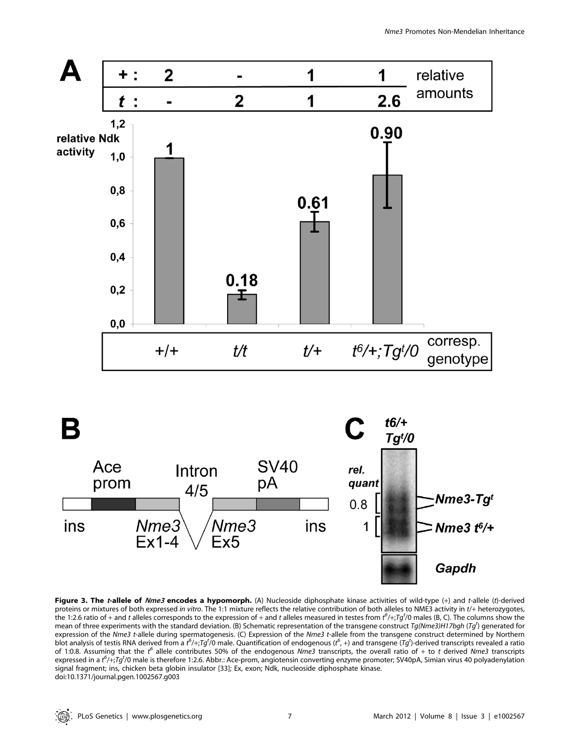

Figure 3. The t-allele of Nme3 encodes a hypomorph. (A) Nucleoside diphosphate kinase activities of wild-type (+) and t-allele (t)-derived proteins or mixtures of both expressed in vitro. The 1:1 mixture reflects the relative contribution of both alleles to NME3 activity in t/+ heterozygotes, the 1:2.6 ratio of + and t alleles corresponds to the expression of + and t alleles measured in testes from  $t^6$ /+;Tg<sup>t</sup>/0 males (B, C). The columns show the mean of three experiments with the standard deviation. (B) Schematic representation of the transgene construct Tg(Nme3)H17bgh (Tg<sup>t</sup>) generated for expression of the Nme3 t-allele during spermatogenesis. (C) Expression of the Nme3 t-allele from the transgene construct determined by Northern blot analysis of testis RNA derived from a  $t^6$ /+;Tg<sup>t</sup>/0 male. Quantification of endogenous ( $t^6$ , +) and transgene (Tg<sup>t</sup>)-derived transcripts revealed a ratio of 1:0.8. Assuming that the  $t^6$  allele contributes 50% of the endogenous Nme3 transcripts, the overall ratio of + to t derived Nme3 transcripts expressed in a t<sup>6</sup>/+;Tg<sup>t</sup>/0 male is therefore 1:2.6. Abbr.: Ace-prom, angiotensin converting enzyme promoter; SV40pA, Simian virus 40 polyadenylation signal fragment; ins, chicken beta globin insulator [33]; Ex, exon; Ndk, nucleoside diphosphate kinase. doi:10.1371/journal.pgen.1002567.g003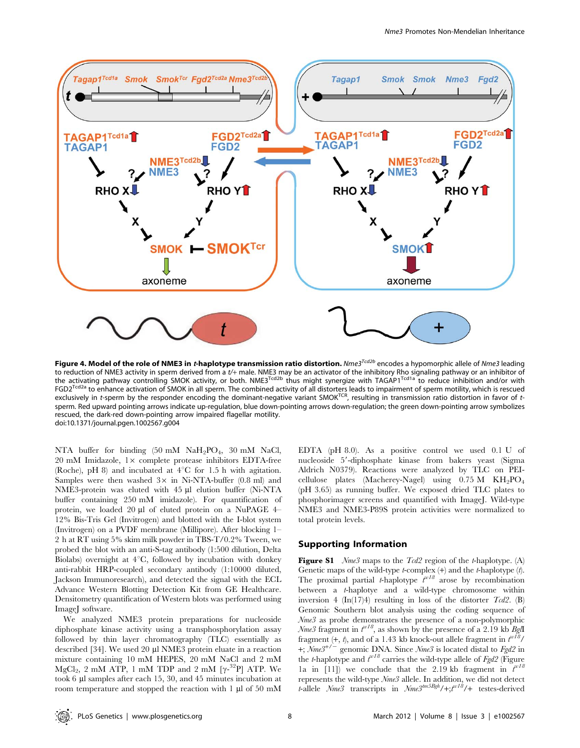

Figure 4. Model of the role of NME3 in *t*-haplotype transmission ratio distortion. Nme3<sup>Tcd2b</sup> encodes a hypomorphic allele of Nme3 leading to reduction of NME3 activity in sperm derived from a t/+ male. NME3 may be an activator of the inhibitory Rho signaling pathway or an inhibitor of<br>the activating pathway controlling SMOK activity, or both. NME3<sup>Tcd2b</sup> thu FGD2<sup>Tcd2a</sup> to enhance activation of SMOK in all sperm. The combined activity of all distorters leads to impairment of sperm motility, which is rescued exclusively in t-sperm by the responder encoding the dominant-negative variant SMOK<sup>TCR</sup>, resulting in transmission ratio distortion in favor of tsperm. Red upward pointing arrows indicate up-regulation, blue down-pointing arrows down-regulation; the green down-pointing arrow symbolizes rescued, the dark-red down-pointing arrow impaired flagellar motility. doi:10.1371/journal.pgen.1002567.g004

NTA buffer for binding  $(50 \text{ mM } \text{NaH}_2\text{PO}_4, 30 \text{ mM } \text{NaCl}$ ,  $20 \text{ mM }$  Imidazole,  $1 \times$  complete protease inhibitors EDTA-free (Roche), pH 8) and incubated at  $4^{\circ}$ C for 1.5 h with agitation. Samples were then washed  $3\times$  in Ni-NTA-buffer (0.8 ml) and NME3-protein was eluted with 45 µl elution buffer (Ni-NTA buffer containing 250 mM imidazole). For quantification of protein, we loaded 20 µl of eluted protein on a NuPAGE 4– 12% Bis-Tris Gel (Invitrogen) and blotted with the I-blot system (Invitrogen) on a PVDF membrane (Millipore). After blocking 1– 2 h at RT using 5% skim milk powder in TBS-T/0.2% Tween, we probed the blot with an anti-S-tag antibody (1:500 dilution, Delta Biolabs) overnight at  $4^{\circ}C$ , followed by incubation with donkey anti-rabbit HRP-coupled secondary antibody (1:10000 diluted, Jackson Immunoresearch), and detected the signal with the ECL Advance Western Blotting Detection Kit from GE Healthcare. Densitometry quantification of Western blots was performed using ImageJ software.

We analyzed NME3 protein preparations for nucleoside diphosphate kinase activity using a transphosphorylation assay followed by thin layer chromatography (TLC) essentially as described [34]. We used 20 µl NME3 protein eluate in a reaction mixture containing 10 mM HEPES, 20 mM NaCl and 2 mM  $MgCl<sub>2</sub>$ , 2 mM ATP, 1 mM TDP and 2 mM  $[\gamma$ <sup>-32</sup>P] ATP. We took 6 µl samples after each 15, 30, and 45 minutes incubation at room temperature and stopped the reaction with 1 µl of 50 mM EDTA (pH 8.0). As a positive control we used 0.1 U of nucleoside 5'-diphosphate kinase from bakers yeast (Sigma Aldrich N0379). Reactions were analyzed by TLC on PEIcellulose plates (Macherey-Nagel) using  $0.75 \text{ M}$  KH<sub>2</sub>PO<sub>4</sub> (pH 3.65) as running buffer. We exposed dried TLC plates to phosphorimager screens and quantified with ImageJ. Wild-type NME3 and NME3-P89S protein activities were normalized to total protein levels.

# Supporting Information

**Figure S1** Nme3 maps to the  $Tcd2$  region of the t-haplotype. (A) Genetic maps of the wild-type  $t$ -complex  $(+)$  and the  $t$ -haplotype  $(t)$ . The proximal partial *t*-haplotype  $t^{w18}$  arose by recombination between a t-haplotye and a wild-type chromosome within inversion 4 (In(17)4) resulting in loss of the distorter  $Tcd2$ . (B) Genomic Southern blot analysis using the coding sequence of Nme3 as probe demonstrates the presence of a non-polymorphic Nme3 fragment in  $t^{v18}$ , as shown by the presence of a 2.19 kb BglI fragment  $(+, t)$ , and of a 1.43 kb knock-out allele fragment in  $t^{wI8}$ / +;  $Nme3^{+/-}$  genomic DNA. Since  $Nme3$  is located distal to  $Fgd2$  in the *t*-haplotype and  $t^{w18}$  carries the wild-type allele of  $Fgd2$  (Figure la in [11]) we conclude that the 2.19 kb fragment in  $t^{w16}$ represents the wild-type  $Nme3$  allele. In addition, we did not detect t-allele  $Nme3$  transcripts in  $Nme3^{tm5Bgh}/+; t^{w18}/+$  testes-derived